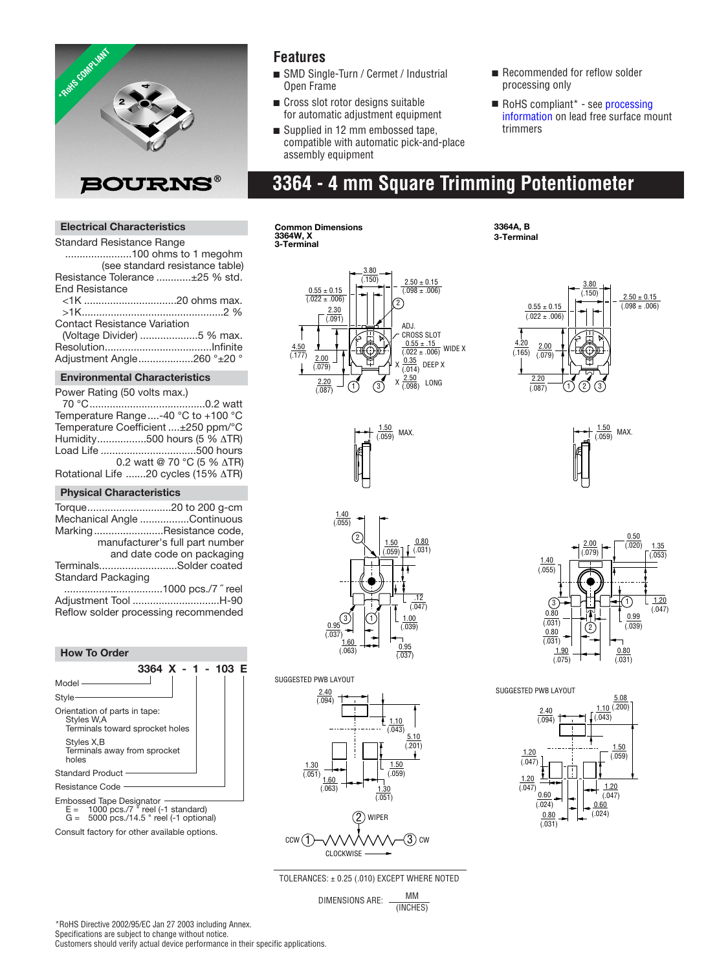

### **Features**

- SMD Single-Turn / Cermet / Industrial Open Frame
- Cross slot rotor designs suitable for automatic adjustment equipment
- Supplied in 12 mm embossed tape. compatible with automatic pick-and-place assembly equipment
- Recommended for reflow solder processing only
- RoHS compliant\* see processing [information on lead free surface mou](http://www.bourns.com/pdfs/LeadFreeSolderProfile.pdf)nt trimmers

## **3364 - 4 mm Square Trimming Potentiometer**

### **Electrical Characteristics**

Standard Resistance Range .......................100 ohms to 1 megohm (see standard resistance table) Resistance Tolerance ............±25 % std. End Resistance <1K ................................20 ohms max. >1K.................................................2 %

| <b>Contact Resistance Variation</b> |  |
|-------------------------------------|--|
| (Voltage Divider) 5 % max.          |  |
|                                     |  |
| Adjustment Angle260 °±20 °          |  |

#### **Environmental Characteristics**

| Power Rating (50 volts max.) |                                       |
|------------------------------|---------------------------------------|
|                              |                                       |
|                              | Temperature Range -40 °C to +100 °C   |
|                              | Temperature Coefficient ±250 ppm/°C   |
|                              | Humidity500 hours (5 % ∆TR)           |
|                              | Load Life 500 hours                   |
|                              | 0.2 watt @ 70 °C (5 % $\triangle$ TR) |
|                              | Rotational Life 20 cycles (15% ATR)   |

#### **Physical Characteristics**

| Torque20 to 200 g-cm                 |                                 |
|--------------------------------------|---------------------------------|
| Mechanical Angle Continuous          |                                 |
| MarkingResistance code,              |                                 |
|                                      | manufacturer's full part number |
|                                      | and date code on packaging      |
| TerminalsSolder coated               |                                 |
| Standard Packaging                   |                                 |
|                                      |                                 |
| Adjustment Tool H-90                 |                                 |
| Reflow solder processing recommended |                                 |

#### **How To Order**



Consult factory for other available options.

**Common Dimensions 3364W, X 3-Terminal**



 $\frac{1.50}{(.059)}$  MAX.

**3364A, B 3-Terminal**













TOLERANCES: ± 0.25 (.010) EXCEPT WHERE NOTED

DIMENSIONS ARE:  $\frac{MM}{M}$ (INCHES)